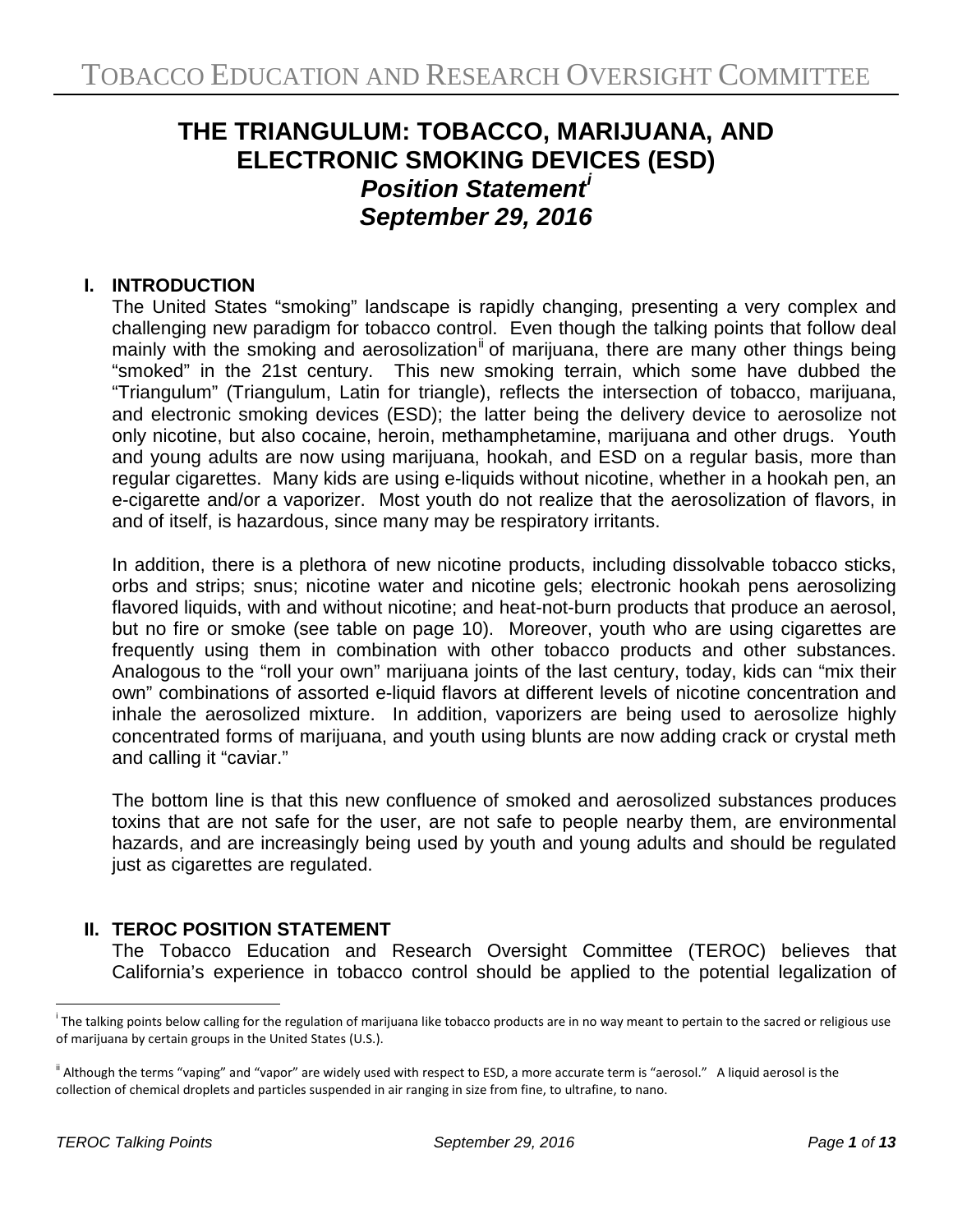# **THE TRIANGULUM: TOBACCO, MARIJUANA, AND ELECTRONIC SMOKING DEVICES (ESD)** *Position Statement[i](#page-0-0) September 29, 2016*

## **I. INTRODUCTION**

The United States "smoking" landscape is rapidly changing, presenting a very complex and challenging new paradigm for tobacco control. Even though the talking points that follow deal mainly with the smoking and aerosolization<sup>[ii](#page-0-1)</sup> of marijuana, there are many other things being "smoked" in the 21st century. This new smoking terrain, which some have dubbed the "Triangulum" (Triangulum, Latin for triangle), reflects the intersection of tobacco, marijuana, and electronic smoking devices (ESD); the latter being the delivery device to aerosolize not only nicotine, but also cocaine, heroin, methamphetamine, marijuana and other drugs. Youth and young adults are now using marijuana, hookah, and ESD on a regular basis, more than regular cigarettes. Many kids are using e-liquids without nicotine, whether in a hookah pen, an e-cigarette and/or a vaporizer. Most youth do not realize that the aerosolization of flavors, in and of itself, is hazardous, since many may be respiratory irritants.

In addition, there is a plethora of new nicotine products, including dissolvable tobacco sticks, orbs and strips; snus; nicotine water and nicotine gels; electronic hookah pens aerosolizing flavored liquids, with and without nicotine; and heat-not-burn products that produce an aerosol, but no fire or smoke (see table on page 10). Moreover, youth who are using cigarettes are frequently using them in combination with other tobacco products and other substances. Analogous to the "roll your own" marijuana joints of the last century, today, kids can "mix their own" combinations of assorted e-liquid flavors at different levels of nicotine concentration and inhale the aerosolized mixture. In addition, vaporizers are being used to aerosolize highly concentrated forms of marijuana, and youth using blunts are now adding crack or crystal meth and calling it "caviar."

The bottom line is that this new confluence of smoked and aerosolized substances produces toxins that are not safe for the user, are not safe to people nearby them, are environmental hazards, and are increasingly being used by youth and young adults and should be regulated just as cigarettes are regulated.

## **II. TEROC POSITION STATEMENT**

The Tobacco Education and Research Oversight Committee (TEROC) believes that California's experience in tobacco control should be applied to the potential legalization of

 $\overline{a}$ 

<span id="page-0-0"></span><sup>&</sup>lt;sup>i</sup> The talking points below calling for the regulation of marijuana like tobacco products are in no way meant to pertain to the sacred or religious use of marijuana by certain groups in the United States (U.S.).

<span id="page-0-1"></span><sup>&</sup>lt;sup>ii</sup> Although the terms "vaping" and "vapor" are widely used with respect to ESD, a more accurate term is "aerosol." A liquid aerosol is the collection of chemical droplets and particles suspended in air ranging in size from fine, to ultrafine, to nano.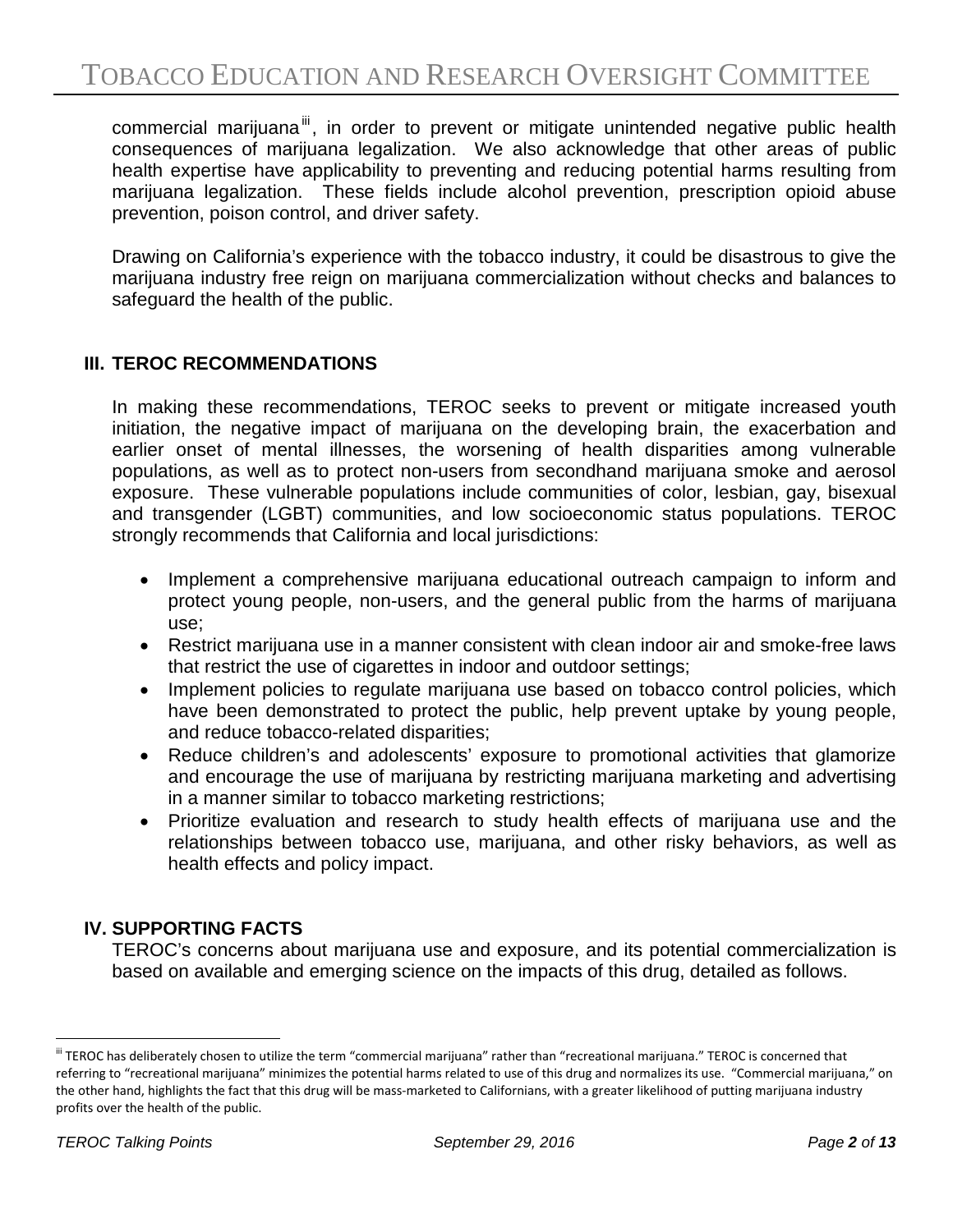commercial marijuana<sup>[iii](#page-1-0)</sup>, in order to prevent or mitigate unintended negative public health consequences of marijuana legalization. We also acknowledge that other areas of public health expertise have applicability to preventing and reducing potential harms resulting from marijuana legalization. These fields include alcohol prevention, prescription opioid abuse prevention, poison control, and driver safety.

Drawing on California's experience with the tobacco industry, it could be disastrous to give the marijuana industry free reign on marijuana commercialization without checks and balances to safeguard the health of the public.

#### **III. TEROC RECOMMENDATIONS**

In making these recommendations, TEROC seeks to prevent or mitigate increased youth initiation, the negative impact of marijuana on the developing brain, the exacerbation and earlier onset of mental illnesses, the worsening of health disparities among vulnerable populations, as well as to protect non-users from secondhand marijuana smoke and aerosol exposure. These vulnerable populations include communities of color, lesbian, gay, bisexual and transgender (LGBT) communities, and low socioeconomic status populations. TEROC strongly recommends that California and local jurisdictions:

- Implement a comprehensive marijuana educational outreach campaign to inform and protect young people, non-users, and the general public from the harms of marijuana use;
- Restrict marijuana use in a manner consistent with clean indoor air and smoke-free laws that restrict the use of cigarettes in indoor and outdoor settings;
- Implement policies to regulate marijuana use based on tobacco control policies, which have been demonstrated to protect the public, help prevent uptake by young people, and reduce tobacco-related disparities;
- Reduce children's and adolescents' exposure to promotional activities that glamorize and encourage the use of marijuana by restricting marijuana marketing and advertising in a manner similar to tobacco marketing restrictions;
- Prioritize evaluation and research to study health effects of marijuana use and the relationships between tobacco use, marijuana, and other risky behaviors, as well as health effects and policy impact.

#### **IV. SUPPORTING FACTS**

TEROC's concerns about marijuana use and exposure, and its potential commercialization is based on available and emerging science on the impacts of this drug, detailed as follows.

<span id="page-1-0"></span> $\overline{a}$ iii TEROC has deliberately chosen to utilize the term "commercial marijuana" rather than "recreational marijuana." TEROC is concerned that referring to "recreational marijuana" minimizes the potential harms related to use of this drug and normalizes its use. "Commercial marijuana," on the other hand, highlights the fact that this drug will be mass-marketed to Californians, with a greater likelihood of putting marijuana industry profits over the health of the public.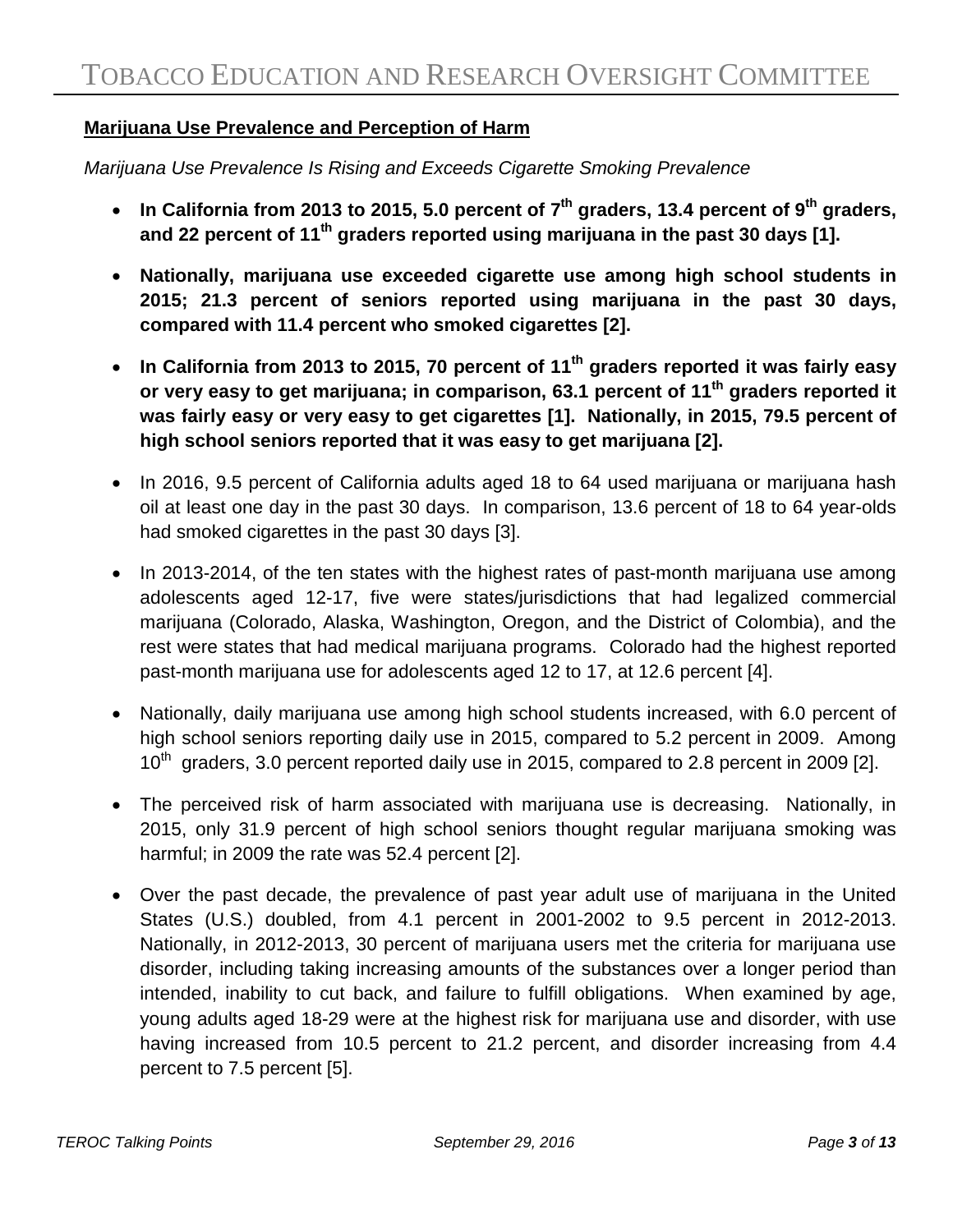## **Marijuana Use Prevalence and Perception of Harm**

*Marijuana Use Prevalence Is Rising and Exceeds Cigarette Smoking Prevalence*

- **In California from 2013 to 2015, 5.0 percent of 7th graders, 13.4 percent of 9th graders, and 22 percent of 11th graders reported using marijuana in the past 30 days [1].**
- **Nationally, marijuana use exceeded cigarette use among high school students in 2015; 21.3 percent of seniors reported using marijuana in the past 30 days, compared with 11.4 percent who smoked cigarettes [2].**
- **In California from 2013 to 2015, 70 percent of 11th graders reported it was fairly easy or very easy to get marijuana; in comparison, 63.1 percent of 11th graders reported it was fairly easy or very easy to get cigarettes [1]. Nationally, in 2015, 79.5 percent of high school seniors reported that it was easy to get marijuana [2].**
- In 2016, 9.5 percent of California adults aged 18 to 64 used marijuana or marijuana hash oil at least one day in the past 30 days. In comparison, 13.6 percent of 18 to 64 year-olds had smoked cigarettes in the past 30 days [3].
- In 2013-2014, of the ten states with the highest rates of past-month marijuana use among adolescents aged 12-17, five were states/jurisdictions that had legalized commercial marijuana (Colorado, Alaska, Washington, Oregon, and the District of Colombia), and the rest were states that had medical marijuana programs. Colorado had the highest reported past-month marijuana use for adolescents aged 12 to 17, at 12.6 percent [4].
- Nationally, daily marijuana use among high school students increased, with 6.0 percent of high school seniors reporting daily use in 2015, compared to 5.2 percent in 2009. Among  $10^{th}$  araders, 3.0 percent reported daily use in 2015, compared to 2.8 percent in 2009 [2].
- The perceived risk of harm associated with marijuana use is decreasing. Nationally, in 2015, only 31.9 percent of high school seniors thought regular marijuana smoking was harmful; in 2009 the rate was 52.4 percent [2].
- Over the past decade, the prevalence of past year adult use of marijuana in the United States (U.S.) doubled, from 4.1 percent in 2001-2002 to 9.5 percent in 2012-2013. Nationally, in 2012-2013, 30 percent of marijuana users met the criteria for marijuana use disorder, including taking increasing amounts of the substances over a longer period than intended, inability to cut back, and failure to fulfill obligations. When examined by age, young adults aged 18-29 were at the highest risk for marijuana use and disorder, with use having increased from 10.5 percent to 21.2 percent, and disorder increasing from 4.4 percent to 7.5 percent [5].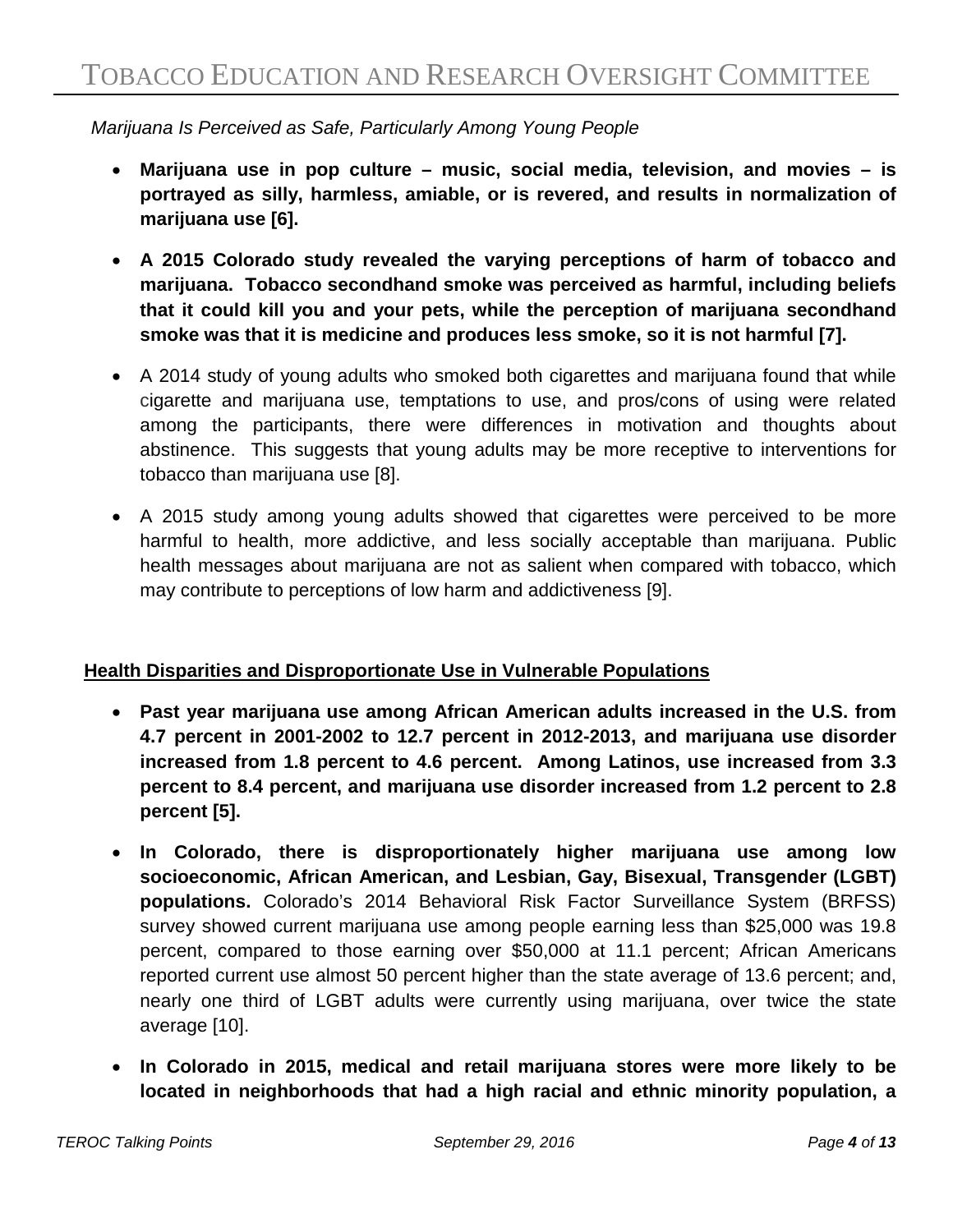*Marijuana Is Perceived as Safe, Particularly Among Young People*

- **Marijuana use in pop culture music, social media, television, and movies is portrayed as silly, harmless, amiable, or is revered, and results in normalization of marijuana use [6].**
- **A 2015 Colorado study revealed the varying perceptions of harm of tobacco and marijuana. Tobacco secondhand smoke was perceived as harmful, including beliefs that it could kill you and your pets, while the perception of marijuana secondhand smoke was that it is medicine and produces less smoke, so it is not harmful [7].**
- A 2014 study of young adults who smoked both cigarettes and marijuana found that while cigarette and marijuana use, temptations to use, and pros/cons of using were related among the participants, there were differences in motivation and thoughts about abstinence. This suggests that young adults may be more receptive to interventions for tobacco than marijuana use [8].
- A 2015 study among young adults showed that cigarettes were perceived to be more harmful to health, more addictive, and less socially acceptable than marijuana. Public health messages about marijuana are not as salient when compared with tobacco, which may contribute to perceptions of low harm and addictiveness [9].

## **Health Disparities and Disproportionate Use in Vulnerable Populations**

- **Past year marijuana use among African American adults increased in the U.S. from 4.7 percent in 2001-2002 to 12.7 percent in 2012-2013, and marijuana use disorder increased from 1.8 percent to 4.6 percent. Among Latinos, use increased from 3.3 percent to 8.4 percent, and marijuana use disorder increased from 1.2 percent to 2.8 percent [5].**
- **In Colorado, there is disproportionately higher marijuana use among low socioeconomic, African American, and Lesbian, Gay, Bisexual, Transgender (LGBT) populations.** Colorado's 2014 Behavioral Risk Factor Surveillance System (BRFSS) survey showed current marijuana use among people earning less than \$25,000 was 19.8 percent, compared to those earning over \$50,000 at 11.1 percent; African Americans reported current use almost 50 percent higher than the state average of 13.6 percent; and, nearly one third of LGBT adults were currently using marijuana, over twice the state average [10].
- **In Colorado in 2015, medical and retail marijuana stores were more likely to be located in neighborhoods that had a high racial and ethnic minority population, a**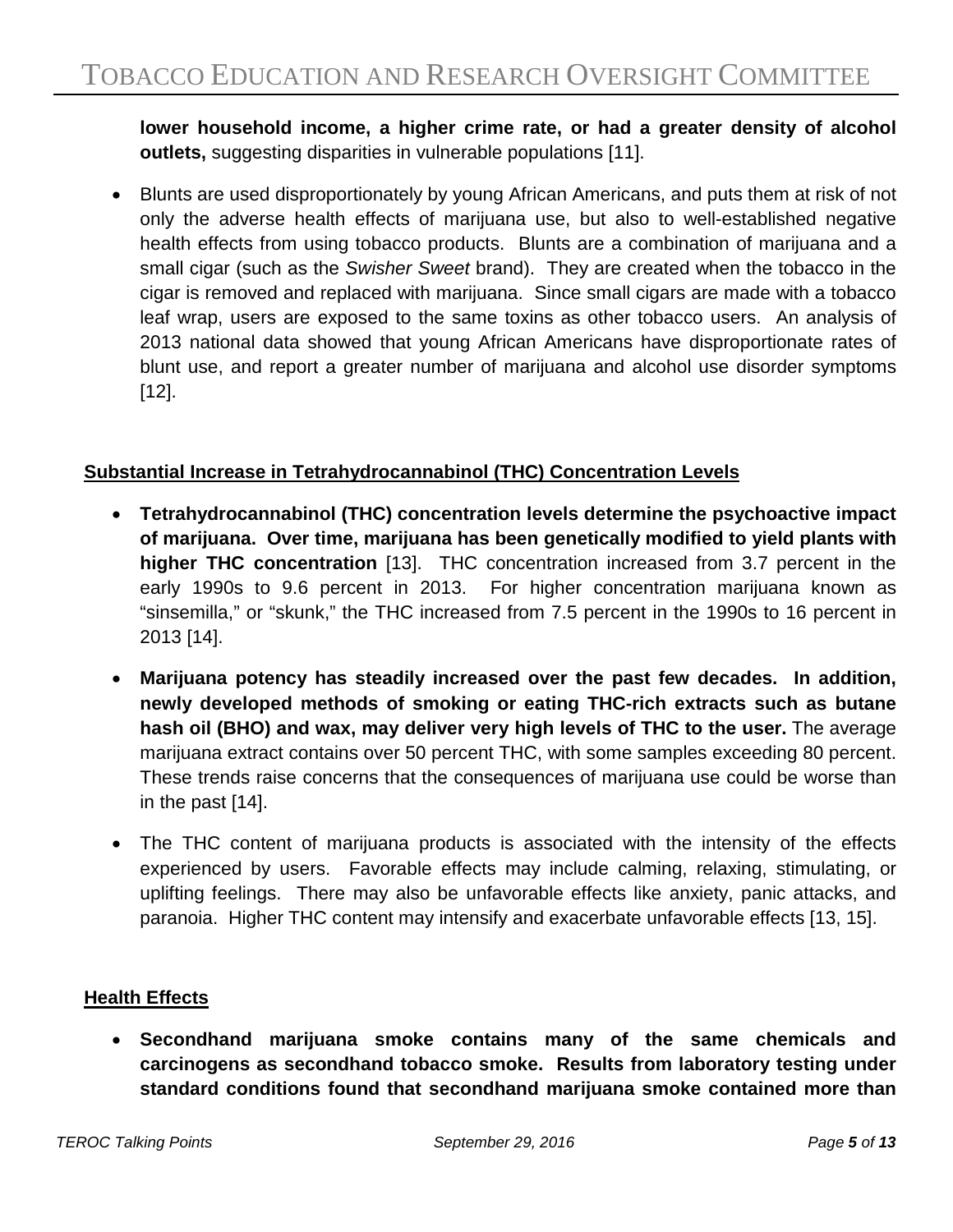**lower household income, a higher crime rate, or had a greater density of alcohol outlets,** suggesting disparities in vulnerable populations [11].

• Blunts are used disproportionately by young African Americans, and puts them at risk of not only the adverse health effects of marijuana use, but also to well-established negative health effects from using tobacco products. Blunts are a combination of marijuana and a small cigar (such as the *Swisher Sweet* brand). They are created when the tobacco in the cigar is removed and replaced with marijuana. Since small cigars are made with a tobacco leaf wrap, users are exposed to the same toxins as other tobacco users. An analysis of 2013 national data showed that young African Americans have disproportionate rates of blunt use, and report a greater number of marijuana and alcohol use disorder symptoms [12].

# **Substantial Increase in Tetrahydrocannabinol (THC) Concentration Levels**

- **Tetrahydrocannabinol (THC) concentration levels determine the psychoactive impact of marijuana. Over time, marijuana has been genetically modified to yield plants with higher THC concentration** [13]. THC concentration increased from 3.7 percent in the early 1990s to 9.6 percent in 2013. For higher concentration marijuana known as "sinsemilla," or "skunk," the THC increased from 7.5 percent in the 1990s to 16 percent in 2013 [14].
- **Marijuana potency has steadily increased over the past few decades. In addition, newly developed methods of smoking or eating THC-rich extracts such as butane hash oil (BHO) and wax, may deliver very high levels of THC to the user.** The average marijuana extract contains over 50 percent THC, with some samples exceeding 80 percent. These trends raise concerns that the consequences of marijuana use could be worse than in the past [14].
- The THC content of marijuana products is associated with the intensity of the effects experienced by users. Favorable effects may include calming, relaxing, stimulating, or uplifting feelings. There may also be unfavorable effects like anxiety, panic attacks, and paranoia. Higher THC content may intensify and exacerbate unfavorable effects [13, 15].

## **Health Effects**

• **Secondhand marijuana smoke contains many of the same chemicals and carcinogens as secondhand tobacco smoke. Results from laboratory testing under standard conditions found that secondhand marijuana smoke contained more than**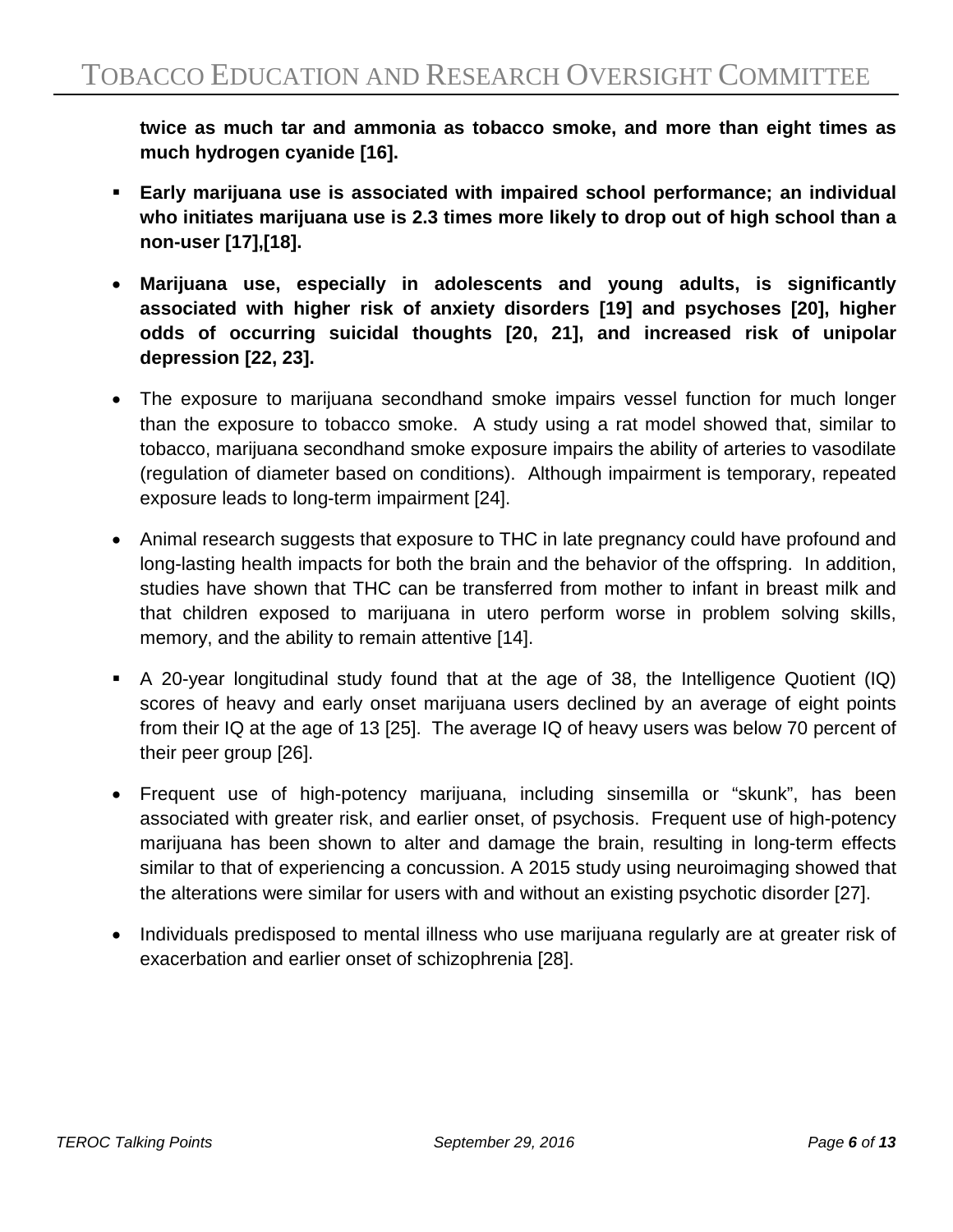**twice as much tar and ammonia as tobacco smoke, and more than eight times as much hydrogen cyanide [16].** 

- **Early marijuana use is associated with impaired school performance; an individual who initiates marijuana use is 2.3 times more likely to drop out of high school than a non-user [17],[18].**
- **Marijuana use, especially in adolescents and young adults, is significantly associated with higher risk of anxiety disorders [19] and psychoses [20], higher odds of occurring suicidal thoughts [20, 21], and increased risk of unipolar depression [22, 23].**
- The exposure to marijuana secondhand smoke impairs vessel function for much longer than the exposure to tobacco smoke. A study using a rat model showed that, similar to tobacco, marijuana secondhand smoke exposure impairs the ability of arteries to vasodilate (regulation of diameter based on conditions). Although impairment is temporary, repeated exposure leads to long-term impairment [24].
- Animal research suggests that exposure to THC in late pregnancy could have profound and long-lasting health impacts for both the brain and the behavior of the offspring. In addition, studies have shown that THC can be transferred from mother to infant in breast milk and that children exposed to marijuana in utero perform worse in problem solving skills, memory, and the ability to remain attentive [14].
- A 20-year longitudinal study found that at the age of 38, the Intelligence Quotient (IQ) scores of heavy and early onset marijuana users declined by an average of eight points from their IQ at the age of 13 [25]. The average IQ of heavy users was below 70 percent of their peer group [26].
- Frequent use of high-potency marijuana, including sinsemilla or "skunk", has been associated with greater risk, and earlier onset, of psychosis. Frequent use of high-potency marijuana has been shown to alter and damage the brain, resulting in long-term effects similar to that of experiencing a concussion. A 2015 study using neuroimaging showed that the alterations were similar for users with and without an existing psychotic disorder [27].
- Individuals predisposed to mental illness who use marijuana regularly are at greater risk of exacerbation and earlier onset of schizophrenia [28].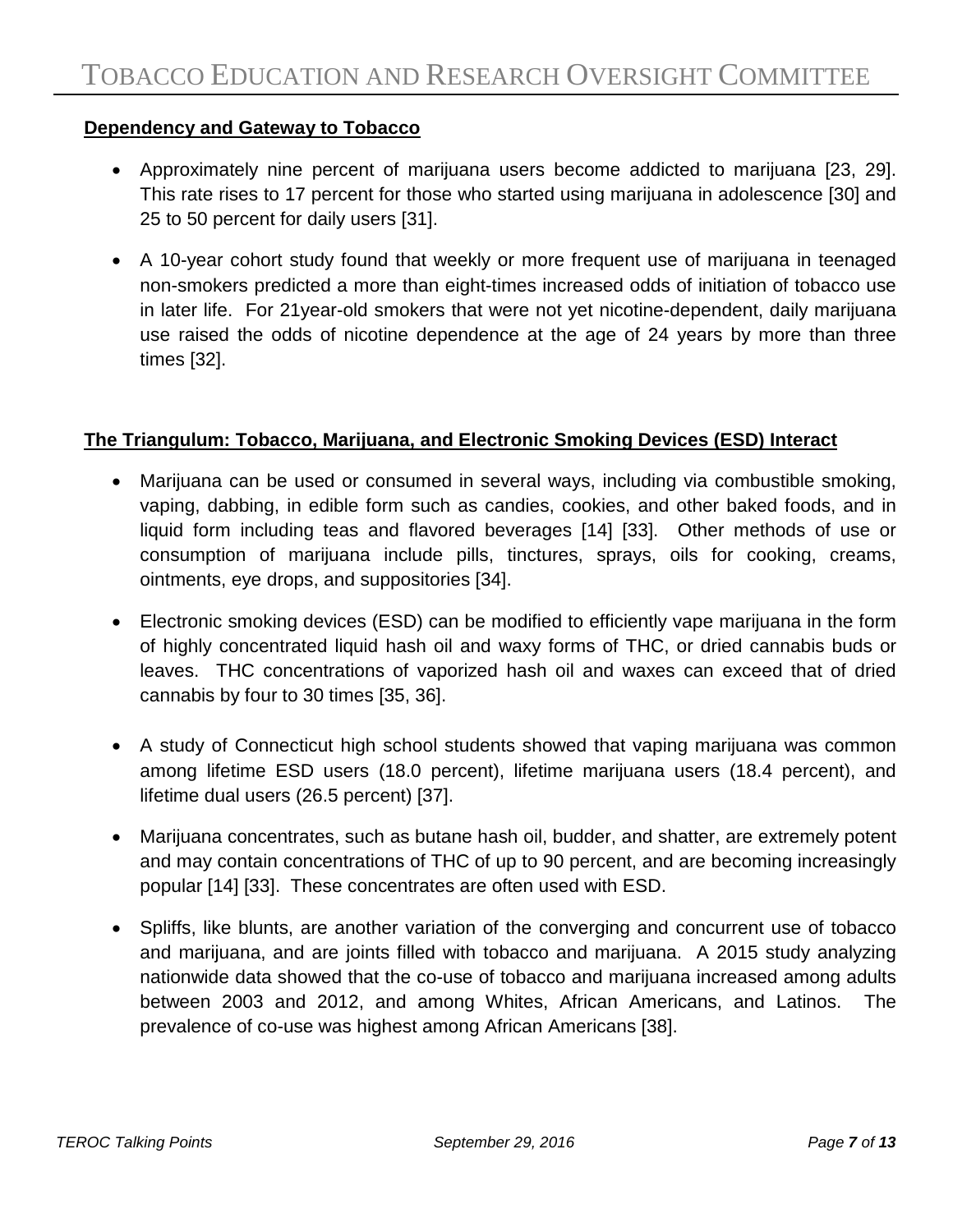## **Dependency and Gateway to Tobacco**

- Approximately nine percent of marijuana users become addicted to marijuana [23, 29]. This rate rises to 17 percent for those who started using marijuana in adolescence [30] and 25 to 50 percent for daily users [31].
- A 10-year cohort study found that weekly or more frequent use of marijuana in teenaged non-smokers predicted a more than eight-times increased odds of initiation of tobacco use in later life. For 21year-old smokers that were not yet nicotine-dependent, daily marijuana use raised the odds of nicotine dependence at the age of 24 years by more than three times [32].

#### **The Triangulum: Tobacco, Marijuana, and Electronic Smoking Devices (ESD) Interact**

- Marijuana can be used or consumed in several ways, including via combustible smoking, vaping, dabbing, in edible form such as candies, cookies, and other baked foods, and in liquid form including teas and flavored beverages [14] [33]. Other methods of use or consumption of marijuana include pills, tinctures, sprays, oils for cooking, creams, ointments, eye drops, and suppositories [34].
- Electronic smoking devices (ESD) can be modified to efficiently vape marijuana in the form of highly concentrated liquid hash oil and waxy forms of THC, or dried cannabis buds or leaves. THC concentrations of vaporized hash oil and waxes can exceed that of dried cannabis by four to 30 times [35, 36].
- A study of Connecticut high school students showed that vaping marijuana was common among lifetime ESD users (18.0 percent), lifetime marijuana users (18.4 percent), and lifetime dual users (26.5 percent) [37].
- Marijuana concentrates, such as butane hash oil, budder, and shatter, are extremely potent and may contain concentrations of THC of up to 90 percent, and are becoming increasingly popular [14] [33]. These concentrates are often used with ESD.
- Spliffs, like blunts, are another variation of the converging and concurrent use of tobacco and marijuana, and are joints filled with tobacco and marijuana. A 2015 study analyzing nationwide data showed that the co-use of tobacco and marijuana increased among adults between 2003 and 2012, and among Whites, African Americans, and Latinos. The prevalence of co-use was highest among African Americans [38].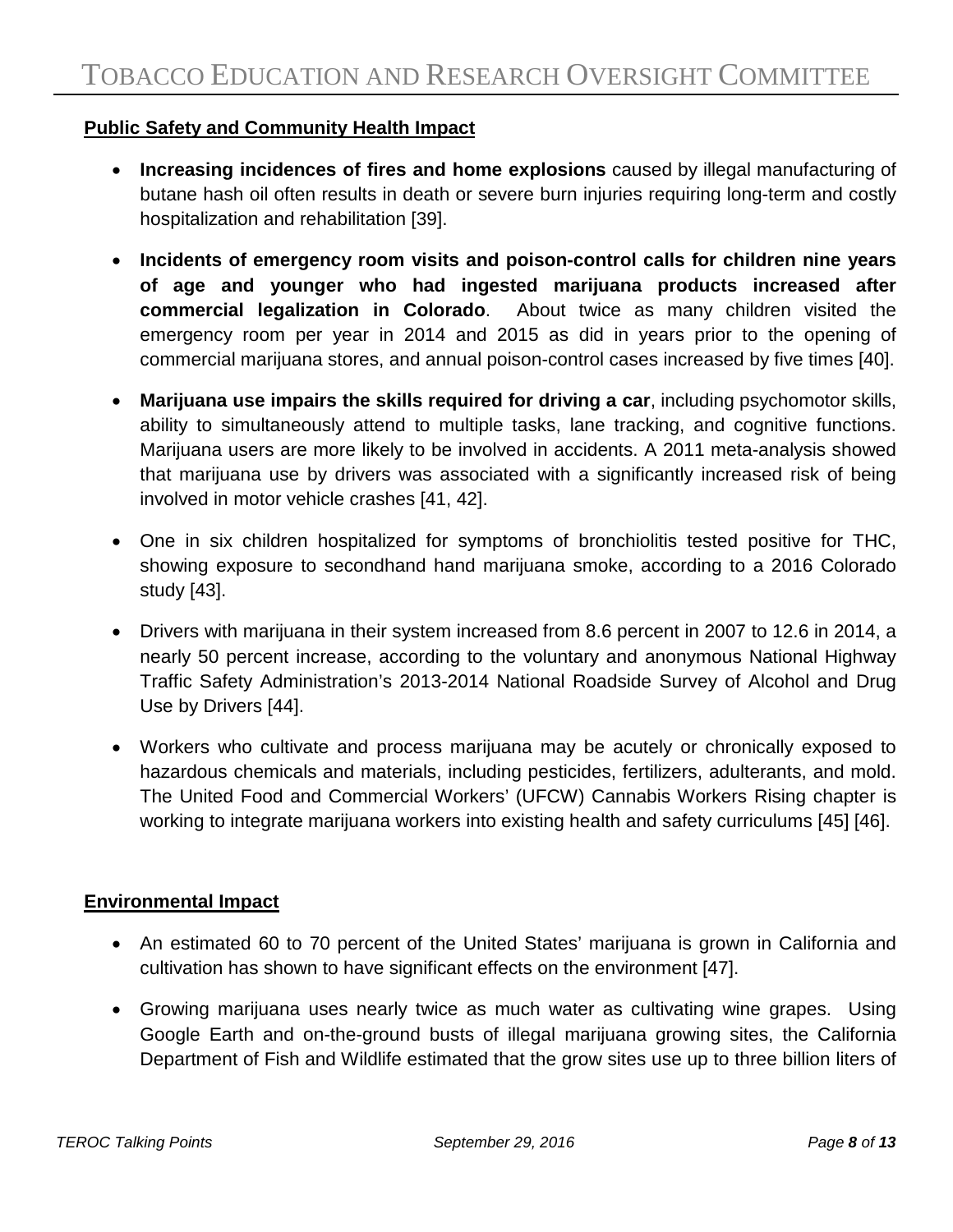# **Public Safety and Community Health Impact**

- **Increasing incidences of fires and home explosions** caused by illegal manufacturing of butane hash oil often results in death or severe burn injuries requiring long-term and costly hospitalization and rehabilitation [39].
- **Incidents of emergency room visits and poison-control calls for children nine years of age and younger who had ingested marijuana products increased after commercial legalization in Colorado**. About twice as many children visited the emergency room per year in 2014 and 2015 as did in years prior to the opening of commercial marijuana stores, and annual poison-control cases increased by five times [40].
- **Marijuana use impairs the skills required for driving a car**, including psychomotor skills, ability to simultaneously attend to multiple tasks, lane tracking, and cognitive functions. Marijuana users are more likely to be involved in accidents. A 2011 meta-analysis showed that marijuana use by drivers was associated with a significantly increased risk of being involved in motor vehicle crashes [41, 42].
- One in six children hospitalized for symptoms of bronchiolitis tested positive for THC, showing exposure to secondhand hand marijuana smoke, according to a 2016 Colorado study [43].
- Drivers with marijuana in their system increased from 8.6 percent in 2007 to 12.6 in 2014, a nearly 50 percent increase, according to the voluntary and anonymous National Highway Traffic Safety Administration's 2013-2014 National Roadside Survey of Alcohol and Drug Use by Drivers [44].
- Workers who cultivate and process marijuana may be acutely or chronically exposed to hazardous chemicals and materials, including pesticides, fertilizers, adulterants, and mold. The United Food and Commercial Workers' (UFCW) Cannabis Workers Rising chapter is working to integrate marijuana workers into existing health and safety curriculums [45] [46].

## **Environmental Impact**

- An estimated 60 to 70 percent of the United States' marijuana is grown in California and cultivation has shown to have significant effects on the environment [47].
- Growing marijuana uses nearly twice as much water as cultivating wine grapes. Using Google Earth and on-the-ground busts of illegal marijuana growing sites, the California Department of Fish and Wildlife estimated that the grow sites use up to three billion liters of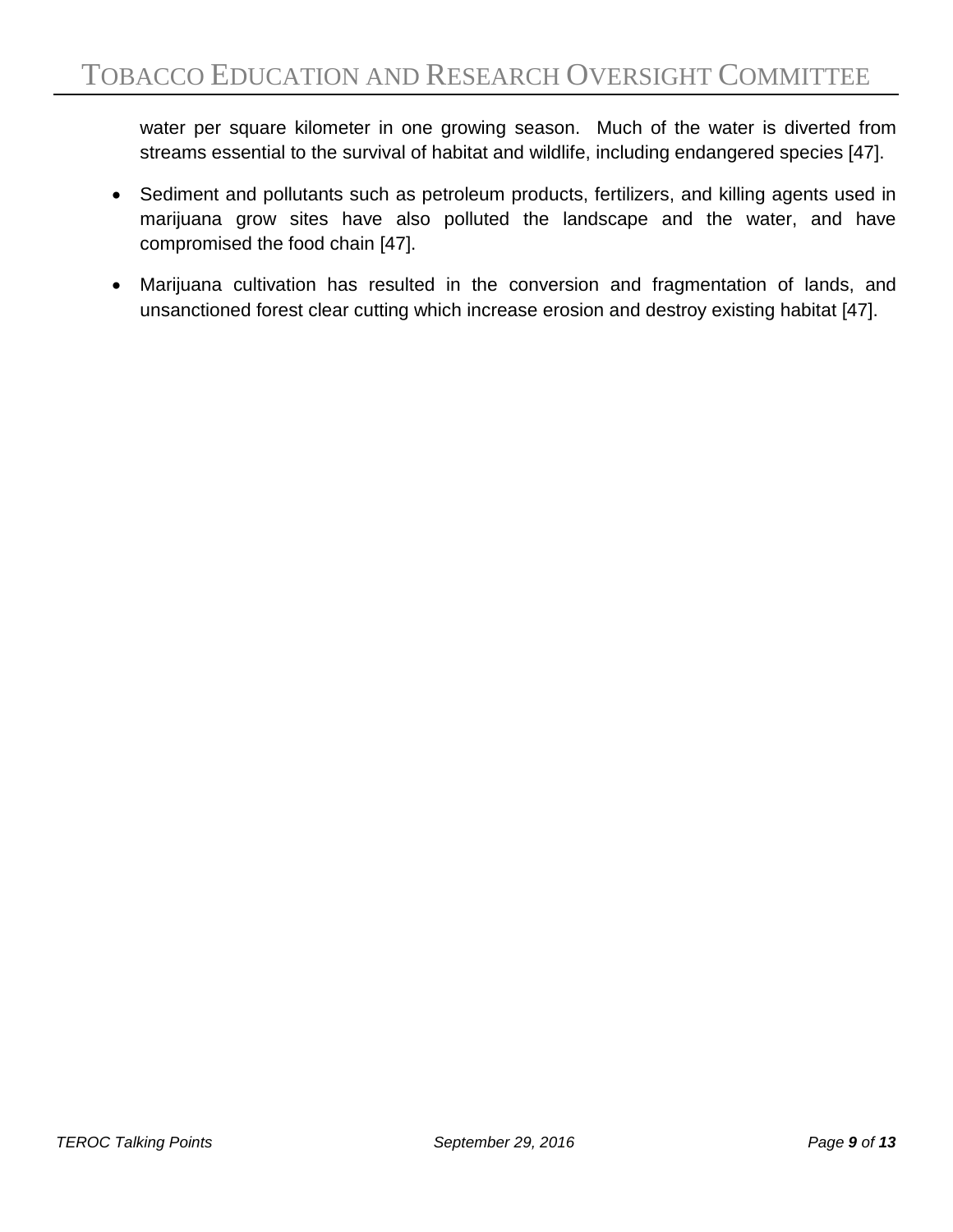water per square kilometer in one growing season. Much of the water is diverted from streams essential to the survival of habitat and wildlife, including endangered species [47].

- Sediment and pollutants such as petroleum products, fertilizers, and killing agents used in marijuana grow sites have also polluted the landscape and the water, and have compromised the food chain [47].
- Marijuana cultivation has resulted in the conversion and fragmentation of lands, and unsanctioned forest clear cutting which increase erosion and destroy existing habitat [47].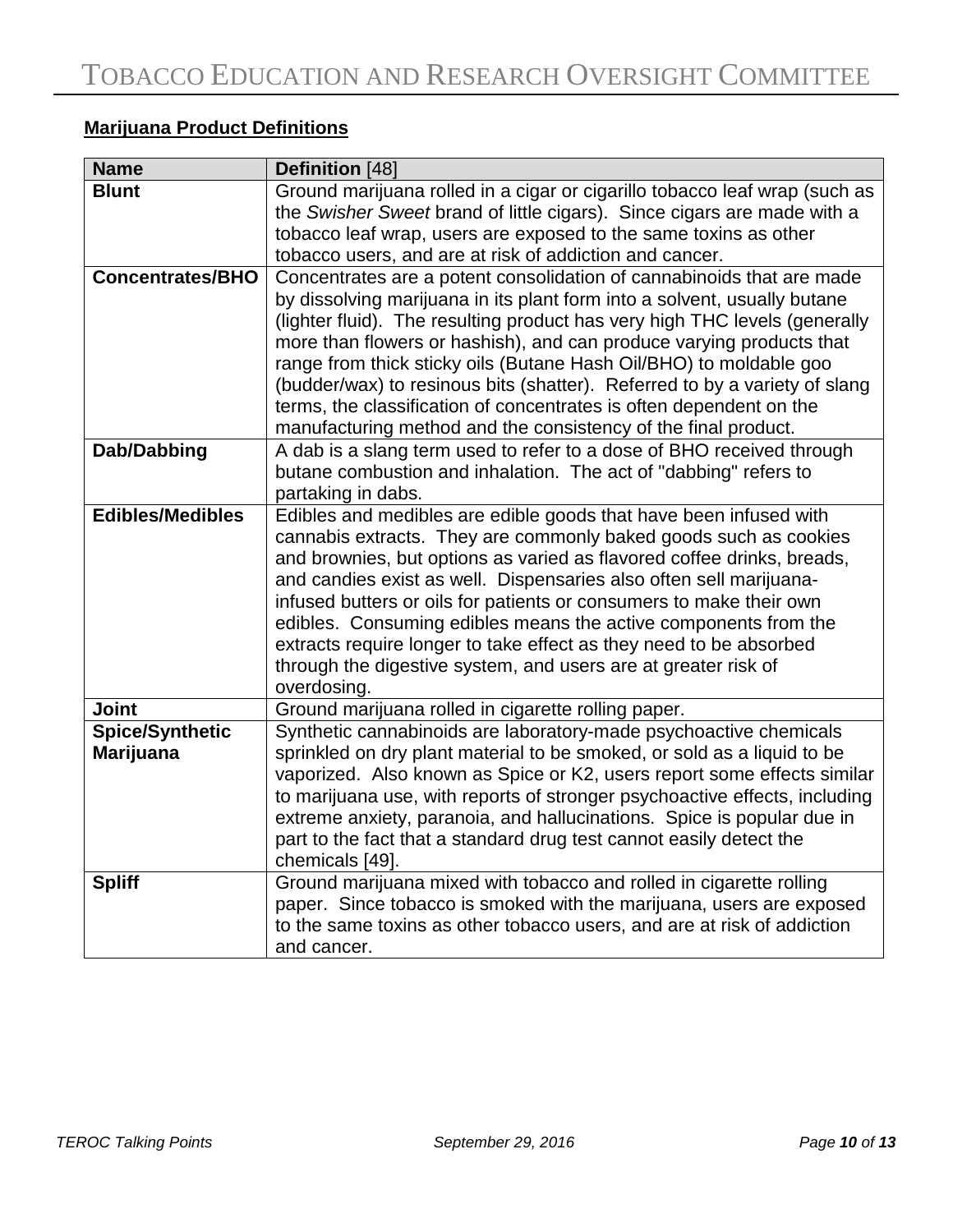# **Marijuana Product Definitions**

| <b>Name</b>                                | Definition [48]                                                                                                                                                                                                                                                                                                                                                                                                                                                                                                                                                                                      |
|--------------------------------------------|------------------------------------------------------------------------------------------------------------------------------------------------------------------------------------------------------------------------------------------------------------------------------------------------------------------------------------------------------------------------------------------------------------------------------------------------------------------------------------------------------------------------------------------------------------------------------------------------------|
| <b>Blunt</b>                               | Ground marijuana rolled in a cigar or cigarillo tobacco leaf wrap (such as                                                                                                                                                                                                                                                                                                                                                                                                                                                                                                                           |
|                                            | the Swisher Sweet brand of little cigars). Since cigars are made with a                                                                                                                                                                                                                                                                                                                                                                                                                                                                                                                              |
|                                            | tobacco leaf wrap, users are exposed to the same toxins as other                                                                                                                                                                                                                                                                                                                                                                                                                                                                                                                                     |
|                                            | tobacco users, and are at risk of addiction and cancer.                                                                                                                                                                                                                                                                                                                                                                                                                                                                                                                                              |
| <b>Concentrates/BHO</b>                    | Concentrates are a potent consolidation of cannabinoids that are made<br>by dissolving marijuana in its plant form into a solvent, usually butane<br>(lighter fluid). The resulting product has very high THC levels (generally<br>more than flowers or hashish), and can produce varying products that<br>range from thick sticky oils (Butane Hash Oil/BHO) to moldable goo<br>(budder/wax) to resinous bits (shatter). Referred to by a variety of slang<br>terms, the classification of concentrates is often dependent on the<br>manufacturing method and the consistency of the final product. |
| Dab/Dabbing                                | A dab is a slang term used to refer to a dose of BHO received through<br>butane combustion and inhalation. The act of "dabbing" refers to<br>partaking in dabs.                                                                                                                                                                                                                                                                                                                                                                                                                                      |
| <b>Edibles/Medibles</b>                    | Edibles and medibles are edible goods that have been infused with<br>cannabis extracts. They are commonly baked goods such as cookies<br>and brownies, but options as varied as flavored coffee drinks, breads,<br>and candies exist as well. Dispensaries also often sell marijuana-<br>infused butters or oils for patients or consumers to make their own<br>edibles. Consuming edibles means the active components from the<br>extracts require longer to take effect as they need to be absorbed<br>through the digestive system, and users are at greater risk of<br>overdosing.               |
| Joint                                      | Ground marijuana rolled in cigarette rolling paper.                                                                                                                                                                                                                                                                                                                                                                                                                                                                                                                                                  |
| <b>Spice/Synthetic</b><br><b>Marijuana</b> | Synthetic cannabinoids are laboratory-made psychoactive chemicals<br>sprinkled on dry plant material to be smoked, or sold as a liquid to be<br>vaporized. Also known as Spice or K2, users report some effects similar<br>to marijuana use, with reports of stronger psychoactive effects, including<br>extreme anxiety, paranoia, and hallucinations. Spice is popular due in<br>part to the fact that a standard drug test cannot easily detect the<br>chemicals [49].                                                                                                                            |
| <b>Spliff</b>                              | Ground marijuana mixed with tobacco and rolled in cigarette rolling<br>paper. Since tobacco is smoked with the marijuana, users are exposed<br>to the same toxins as other tobacco users, and are at risk of addiction<br>and cancer.                                                                                                                                                                                                                                                                                                                                                                |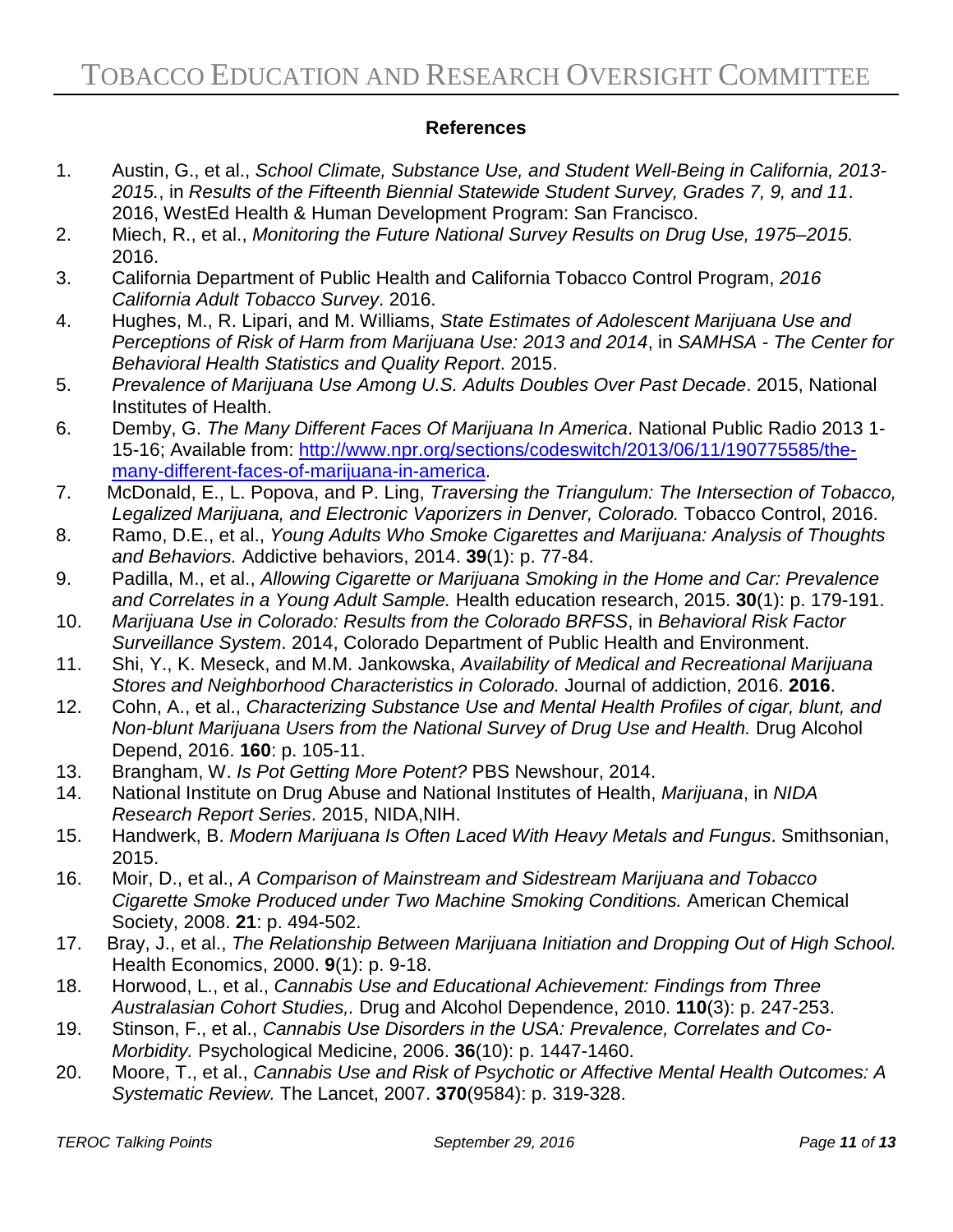#### **References**

- 1. Austin, G., et al., *School Climate, Substance Use, and Student Well-Being in California, 2013- 2015.*, in *Results of the Fifteenth Biennial Statewide Student Survey, Grades 7, 9, and 11*. 2016, WestEd Health & Human Development Program: San Francisco.
- 2. Miech, R., et al., *Monitoring the Future National Survey Results on Drug Use, 1975–2015.* 2016.
- 3. California Department of Public Health and California Tobacco Control Program, *2016 California Adult Tobacco Survey*. 2016.
- 4. Hughes, M., R. Lipari, and M. Williams, *State Estimates of Adolescent Marijuana Use and Perceptions of Risk of Harm from Marijuana Use: 2013 and 2014*, in *SAMHSA - The Center for Behavioral Health Statistics and Quality Report*. 2015.
- 5. *Prevalence of Marijuana Use Among U.S. Adults Doubles Over Past Decade*. 2015, National Institutes of Health.
- 6. Demby, G. *The Many Different Faces Of Marijuana In America*. National Public Radio 2013 1- 15-16; Available from: [http://www.npr.org/sections/codeswitch/2013/06/11/190775585/the](http://www.npr.org/sections/codeswitch/2013/06/11/190775585/the-many-different-faces-of-marijuana-in-america)[many-different-faces-of-marijuana-in-america.](http://www.npr.org/sections/codeswitch/2013/06/11/190775585/the-many-different-faces-of-marijuana-in-america)
- 7. McDonald, E., L. Popova, and P. Ling, *Traversing the Triangulum: The Intersection of Tobacco, Legalized Marijuana, and Electronic Vaporizers in Denver, Colorado.* Tobacco Control, 2016.
- 8. Ramo, D.E., et al., *Young Adults Who Smoke Cigarettes and Marijuana: Analysis of Thoughts and Behaviors.* Addictive behaviors, 2014. **39**(1): p. 77-84.
- 9. Padilla, M., et al., *Allowing Cigarette or Marijuana Smoking in the Home and Car: Prevalence and Correlates in a Young Adult Sample.* Health education research, 2015. **30**(1): p. 179-191.
- 10. *Marijuana Use in Colorado: Results from the Colorado BRFSS*, in *Behavioral Risk Factor Surveillance System*. 2014, Colorado Department of Public Health and Environment.
- 11. Shi, Y., K. Meseck, and M.M. Jankowska, *Availability of Medical and Recreational Marijuana Stores and Neighborhood Characteristics in Colorado.* Journal of addiction, 2016. **2016**.
- 12. Cohn, A., et al., *Characterizing Substance Use and Mental Health Profiles of cigar, blunt, and Non-blunt Marijuana Users from the National Survey of Drug Use and Health.* Drug Alcohol Depend, 2016. **160**: p. 105-11.
- 13. Brangham, W. *Is Pot Getting More Potent?* PBS Newshour, 2014.
- 14. National Institute on Drug Abuse and National Institutes of Health, *Marijuana*, in *NIDA Research Report Series*. 2015, NIDA,NIH.
- 15. Handwerk, B. *Modern Marijuana Is Often Laced With Heavy Metals and Fungus*. Smithsonian, 2015.
- 16. Moir, D., et al., *A Comparison of Mainstream and Sidestream Marijuana and Tobacco Cigarette Smoke Produced under Two Machine Smoking Conditions.* American Chemical Society, 2008. **21**: p. 494-502.
- 17. Bray, J., et al., *The Relationship Between Marijuana Initiation and Dropping Out of High School.* Health Economics, 2000. **9**(1): p. 9-18.
- 18. Horwood, L., et al., *Cannabis Use and Educational Achievement: Findings from Three Australasian Cohort Studies,.* Drug and Alcohol Dependence, 2010. **110**(3): p. 247-253.
- 19. Stinson, F., et al., *Cannabis Use Disorders in the USA: Prevalence, Correlates and Co-Morbidity.* Psychological Medicine, 2006. **36**(10): p. 1447-1460.
- 20. Moore, T., et al., *Cannabis Use and Risk of Psychotic or Affective Mental Health Outcomes: A Systematic Review.* The Lancet, 2007. **370**(9584): p. 319-328.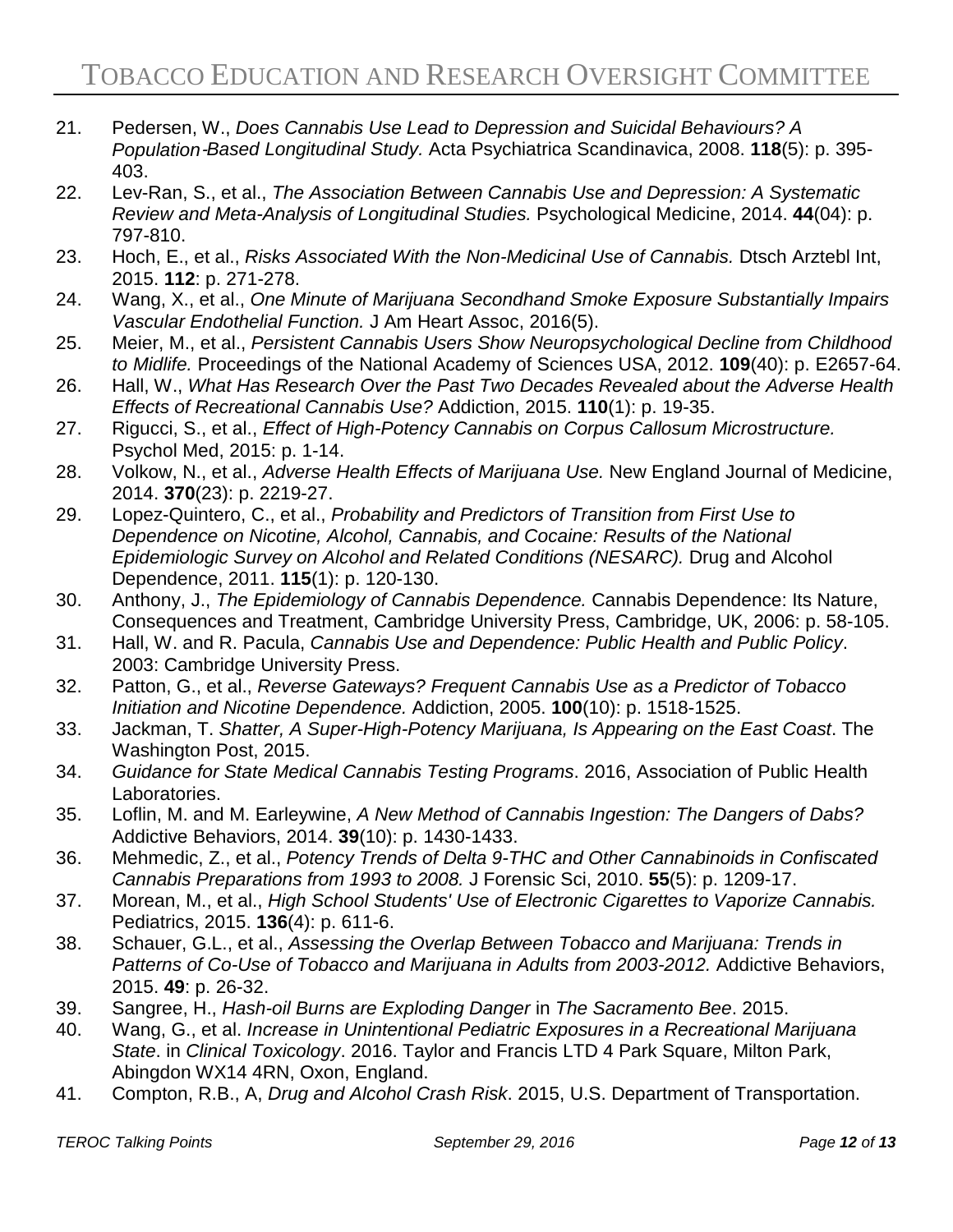- 21. Pedersen, W., *Does Cannabis Use Lead to Depression and Suicidal Behaviours? A Population*‐*Based Longitudinal Study.* Acta Psychiatrica Scandinavica, 2008. **118**(5): p. 395- 403.
- 22. Lev-Ran, S., et al., *The Association Between Cannabis Use and Depression: A Systematic Review and Meta-Analysis of Longitudinal Studies.* Psychological Medicine, 2014. **44**(04): p. 797-810.
- 23. Hoch, E., et al., *Risks Associated With the Non-Medicinal Use of Cannabis.* Dtsch Arztebl Int, 2015. **112**: p. 271-278.
- 24. Wang, X., et al., *One Minute of Marijuana Secondhand Smoke Exposure Substantially Impairs Vascular Endothelial Function.* J Am Heart Assoc, 2016(5).
- 25. Meier, M., et al., *Persistent Cannabis Users Show Neuropsychological Decline from Childhood to Midlife.* Proceedings of the National Academy of Sciences USA, 2012. **109**(40): p. E2657-64.
- 26. Hall, W., *What Has Research Over the Past Two Decades Revealed about the Adverse Health Effects of Recreational Cannabis Use?* Addiction, 2015. **110**(1): p. 19-35.
- 27. Rigucci, S., et al., *Effect of High-Potency Cannabis on Corpus Callosum Microstructure.* Psychol Med, 2015: p. 1-14.
- 28. Volkow, N., et al., *Adverse Health Effects of Marijuana Use.* New England Journal of Medicine, 2014. **370**(23): p. 2219-27.
- 29. Lopez-Quintero, C., et al., *Probability and Predictors of Transition from First Use to Dependence on Nicotine, Alcohol, Cannabis, and Cocaine: Results of the National Epidemiologic Survey on Alcohol and Related Conditions (NESARC).* Drug and Alcohol Dependence, 2011. **115**(1): p. 120-130.
- 30. Anthony, J., *The Epidemiology of Cannabis Dependence.* Cannabis Dependence: Its Nature, Consequences and Treatment, Cambridge University Press, Cambridge, UK, 2006: p. 58-105.
- 31. Hall, W. and R. Pacula, *Cannabis Use and Dependence: Public Health and Public Policy*. 2003: Cambridge University Press.
- 32. Patton, G., et al., *Reverse Gateways? Frequent Cannabis Use as a Predictor of Tobacco Initiation and Nicotine Dependence.* Addiction, 2005. **100**(10): p. 1518-1525.
- 33. Jackman, T. *Shatter, A Super-High-Potency Marijuana, Is Appearing on the East Coast*. The Washington Post, 2015.
- 34. *Guidance for State Medical Cannabis Testing Programs*. 2016, Association of Public Health Laboratories.
- 35. Loflin, M. and M. Earleywine, *A New Method of Cannabis Ingestion: The Dangers of Dabs?* Addictive Behaviors, 2014. **39**(10): p. 1430-1433.
- 36. Mehmedic, Z., et al., *Potency Trends of Delta 9-THC and Other Cannabinoids in Confiscated Cannabis Preparations from 1993 to 2008.* J Forensic Sci, 2010. **55**(5): p. 1209-17.
- 37. Morean, M., et al., *High School Students' Use of Electronic Cigarettes to Vaporize Cannabis.* Pediatrics, 2015. **136**(4): p. 611-6.
- 38. Schauer, G.L., et al., *Assessing the Overlap Between Tobacco and Marijuana: Trends in Patterns of Co-Use of Tobacco and Marijuana in Adults from 2003-2012.* Addictive Behaviors, 2015. **49**: p. 26-32.
- 39. Sangree, H., *Hash-oil Burns are Exploding Danger* in *The Sacramento Bee*. 2015.
- 40. Wang, G., et al. *Increase in Unintentional Pediatric Exposures in a Recreational Marijuana State*. in *Clinical Toxicology*. 2016. Taylor and Francis LTD 4 Park Square, Milton Park, Abingdon WX14 4RN, Oxon, England.
- 41. Compton, R.B., A, *Drug and Alcohol Crash Risk*. 2015, U.S. Department of Transportation.